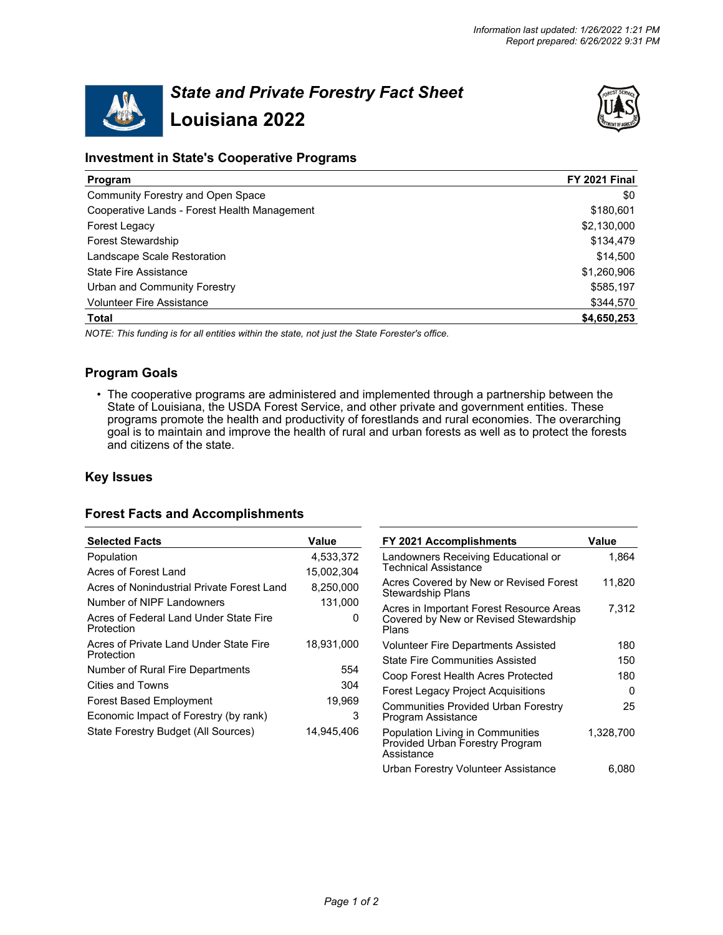

# *State and Private Forestry Fact Sheet* **Louisiana 2022**



# **Investment in State's Cooperative Programs**

| Program                                      | FY 2021 Final |
|----------------------------------------------|---------------|
| Community Forestry and Open Space            | \$0           |
| Cooperative Lands - Forest Health Management | \$180,601     |
| Forest Legacy                                | \$2,130,000   |
| <b>Forest Stewardship</b>                    | \$134,479     |
| Landscape Scale Restoration                  | \$14,500      |
| <b>State Fire Assistance</b>                 | \$1,260,906   |
| Urban and Community Forestry                 | \$585,197     |
| <b>Volunteer Fire Assistance</b>             | \$344,570     |
| <b>Total</b>                                 | \$4,650,253   |

*NOTE: This funding is for all entities within the state, not just the State Forester's office.*

# **Program Goals**

• The cooperative programs are administered and implemented through a partnership between the State of Louisiana, the USDA Forest Service, and other private and government entities. These programs promote the health and productivity of forestlands and rural economies. The overarching goal is to maintain and improve the health of rural and urban forests as well as to protect the forests and citizens of the state.

# **Key Issues**

# **Forest Facts and Accomplishments**

| <b>Selected Facts</b>                                | Value      | FY 2021 Accomplishments                                                           | Value     |
|------------------------------------------------------|------------|-----------------------------------------------------------------------------------|-----------|
| Population                                           | 4,533,372  | Landowners Receiving Educational or                                               | 1.864     |
| Acres of Forest Land                                 | 15.002.304 | Technical Assistance                                                              |           |
| Acres of Nonindustrial Private Forest Land           | 8,250,000  | Acres Covered by New or Revised Forest<br><b>Stewardship Plans</b>                | 11.820    |
| Number of NIPF Landowners                            | 131,000    | Acres in Important Forest Resource Areas                                          | 7.312     |
| Acres of Federal Land Under State Fire<br>Protection | 0          | Covered by New or Revised Stewardship<br>Plans                                    |           |
| Acres of Private Land Under State Fire               | 18,931,000 | <b>Volunteer Fire Departments Assisted</b>                                        | 180       |
| Protection                                           |            | <b>State Fire Communities Assisted</b>                                            | 150       |
| Number of Rural Fire Departments                     | 554        | Coop Forest Health Acres Protected                                                | 180       |
| Cities and Towns                                     | 304        | <b>Forest Legacy Project Acquisitions</b>                                         | 0         |
| <b>Forest Based Employment</b>                       | 19,969     |                                                                                   |           |
| Economic Impact of Forestry (by rank)                | 3          | Communities Provided Urban Forestry<br>Program Assistance                         | 25        |
| State Forestry Budget (All Sources)                  | 14,945,406 | Population Living in Communities<br>Provided Urban Forestry Program<br>Assistance | 1,328,700 |
|                                                      |            | Urban Forestry Volunteer Assistance                                               | 6,080     |